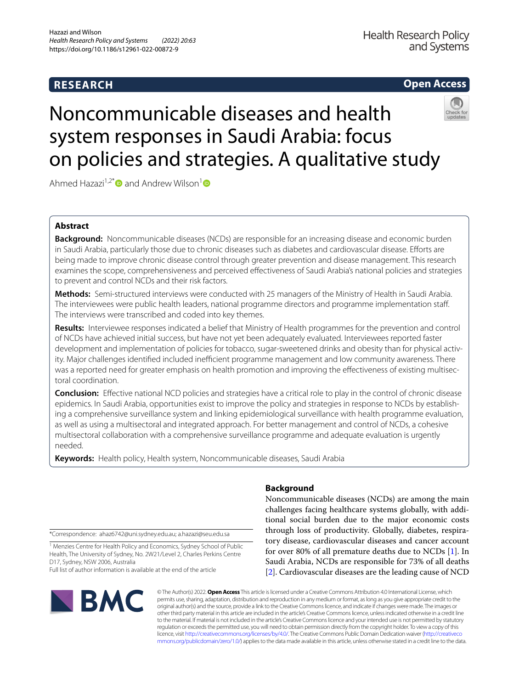# **RESEARCH**

# **Open Access**



# Noncommunicable diseases and health system responses in Saudi Arabia: focus on policies and strategies. A qualitative study

Ahmed Hazazi<sup>1,2\*</sup> and Andrew Wilson<sup>1</sup>

# **Abstract**

**Background:** Noncommunicable diseases (NCDs) are responsible for an increasing disease and economic burden in Saudi Arabia, particularly those due to chronic diseases such as diabetes and cardiovascular disease. Eforts are being made to improve chronic disease control through greater prevention and disease management. This research examines the scope, comprehensiveness and perceived efectiveness of Saudi Arabia's national policies and strategies to prevent and control NCDs and their risk factors.

**Methods:** Semi-structured interviews were conducted with 25 managers of the Ministry of Health in Saudi Arabia. The interviewees were public health leaders, national programme directors and programme implementation staf. The interviews were transcribed and coded into key themes.

**Results:** Interviewee responses indicated a belief that Ministry of Health programmes for the prevention and control of NCDs have achieved initial success, but have not yet been adequately evaluated. Interviewees reported faster development and implementation of policies for tobacco, sugar-sweetened drinks and obesity than for physical activity. Major challenges identified included inefficient programme management and low community awareness. There was a reported need for greater emphasis on health promotion and improving the efectiveness of existing multisectoral coordination.

**Conclusion:** Efective national NCD policies and strategies have a critical role to play in the control of chronic disease epidemics. In Saudi Arabia, opportunities exist to improve the policy and strategies in response to NCDs by establishing a comprehensive surveillance system and linking epidemiological surveillance with health programme evaluation, as well as using a multisectoral and integrated approach. For better management and control of NCDs, a cohesive multisectoral collaboration with a comprehensive surveillance programme and adequate evaluation is urgently needed.

**Keywords:** Health policy, Health system, Noncommunicable diseases, Saudi Arabia

\*Correspondence: ahaz6742@uni.sydney.edu.au; a.hazazi@seu.edu.sa

<sup>1</sup> Menzies Centre for Health Policy and Economics, Sydney School of Public Health, The University of Sydney, No. 2W21/Level 2, Charles Perkins Centre D17, Sydney, NSW 2006, Australia

Full list of author information is available at the end of the article



# **Background**

Noncommunicable diseases (NCDs) are among the main challenges facing healthcare systems globally, with additional social burden due to the major economic costs through loss of productivity. Globally, diabetes, respiratory disease, cardiovascular diseases and cancer account for over 80% of all premature deaths due to NCDs [[1\]](#page-8-0). In Saudi Arabia, NCDs are responsible for 73% of all deaths [[2\]](#page-8-1). Cardiovascular diseases are the leading cause of NCD

© The Author(s) 2022. **Open Access** This article is licensed under a Creative Commons Attribution 4.0 International License, which permits use, sharing, adaptation, distribution and reproduction in any medium or format, as long as you give appropriate credit to the original author(s) and the source, provide a link to the Creative Commons licence, and indicate if changes were made. The images or other third party material in this article are included in the article's Creative Commons licence, unless indicated otherwise in a credit line to the material. If material is not included in the article's Creative Commons licence and your intended use is not permitted by statutory regulation or exceeds the permitted use, you will need to obtain permission directly from the copyright holder. To view a copy of this licence, visit [http://creativecommons.org/licenses/by/4.0/.](http://creativecommons.org/licenses/by/4.0/) The Creative Commons Public Domain Dedication waiver ([http://creativeco](http://creativecommons.org/publicdomain/zero/1.0/) [mmons.org/publicdomain/zero/1.0/](http://creativecommons.org/publicdomain/zero/1.0/)) applies to the data made available in this article, unless otherwise stated in a credit line to the data.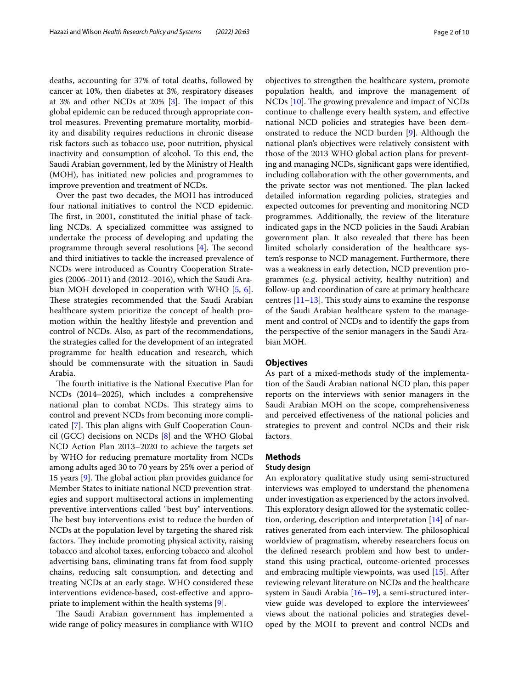deaths, accounting for 37% of total deaths, followed by cancer at 10%, then diabetes at 3%, respiratory diseases at 3% and other NCDs at 20%  $[3]$  $[3]$ . The impact of this global epidemic can be reduced through appropriate control measures. Preventing premature mortality, morbidity and disability requires reductions in chronic disease risk factors such as tobacco use, poor nutrition, physical inactivity and consumption of alcohol. To this end, the Saudi Arabian government, led by the Ministry of Health (MOH), has initiated new policies and programmes to improve prevention and treatment of NCDs.

Over the past two decades, the MOH has introduced four national initiatives to control the NCD epidemic. The first, in 2001, constituted the initial phase of tackling NCDs. A specialized committee was assigned to undertake the process of developing and updating the programme through several resolutions  $[4]$  $[4]$ . The second and third initiatives to tackle the increased prevalence of NCDs were introduced as Country Cooperation Strategies (2006–2011) and (2012–2016), which the Saudi Arabian MOH developed in cooperation with WHO [[5](#page-8-4), [6](#page-8-5)]. These strategies recommended that the Saudi Arabian healthcare system prioritize the concept of health promotion within the healthy lifestyle and prevention and control of NCDs. Also, as part of the recommendations, the strategies called for the development of an integrated programme for health education and research, which should be commensurate with the situation in Saudi Arabia.

The fourth initiative is the National Executive Plan for NCDs (2014–2025), which includes a comprehensive national plan to combat NCDs. This strategy aims to control and prevent NCDs from becoming more compli-cated [[7\]](#page-8-6). This plan aligns with Gulf Cooperation Council (GCC) decisions on NCDs [\[8\]](#page-8-7) and the WHO Global NCD Action Plan 2013–2020 to achieve the targets set by WHO for reducing premature mortality from NCDs among adults aged 30 to 70 years by 25% over a period of 15 years  $[9]$  $[9]$ . The global action plan provides guidance for Member States to initiate national NCD prevention strategies and support multisectoral actions in implementing preventive interventions called "best buy" interventions. The best buy interventions exist to reduce the burden of NCDs at the population level by targeting the shared risk factors. They include promoting physical activity, raising tobacco and alcohol taxes, enforcing tobacco and alcohol advertising bans, eliminating trans fat from food supply chains, reducing salt consumption, and detecting and treating NCDs at an early stage. WHO considered these interventions evidence-based, cost-efective and appropriate to implement within the health systems [\[9](#page-8-8)].

The Saudi Arabian government has implemented a wide range of policy measures in compliance with WHO objectives to strengthen the healthcare system, promote population health, and improve the management of  $NCDs$  [[10\]](#page-8-9). The growing prevalence and impact of  $NCDs$ continue to challenge every health system, and efective national NCD policies and strategies have been demonstrated to reduce the NCD burden [\[9](#page-8-8)]. Although the national plan's objectives were relatively consistent with those of the 2013 WHO global action plans for preventing and managing NCDs, signifcant gaps were identifed, including collaboration with the other governments, and the private sector was not mentioned. The plan lacked detailed information regarding policies, strategies and expected outcomes for preventing and monitoring NCD programmes. Additionally, the review of the literature indicated gaps in the NCD policies in the Saudi Arabian government plan. It also revealed that there has been limited scholarly consideration of the healthcare system's response to NCD management. Furthermore, there was a weakness in early detection, NCD prevention programmes (e.g. physical activity, healthy nutrition) and follow-up and coordination of care at primary healthcare centres  $[11-13]$  $[11-13]$  $[11-13]$ . This study aims to examine the response of the Saudi Arabian healthcare system to the management and control of NCDs and to identify the gaps from the perspective of the senior managers in the Saudi Arabian MOH.

# **Objectives**

As part of a mixed-methods study of the implementation of the Saudi Arabian national NCD plan, this paper reports on the interviews with senior managers in the Saudi Arabian MOH on the scope, comprehensiveness and perceived efectiveness of the national policies and strategies to prevent and control NCDs and their risk factors.

# **Methods**

# **Study design**

An exploratory qualitative study using semi-structured interviews was employed to understand the phenomena under investigation as experienced by the actors involved. This exploratory design allowed for the systematic collection, ordering, description and interpretation [\[14](#page-8-12)] of narratives generated from each interview. The philosophical worldview of pragmatism, whereby researchers focus on the defned research problem and how best to understand this using practical, outcome-oriented processes and embracing multiple viewpoints, was used [\[15\]](#page-8-13). After reviewing relevant literature on NCDs and the healthcare system in Saudi Arabia [[16–](#page-8-14)[19](#page-8-15)], a semi-structured interview guide was developed to explore the interviewees' views about the national policies and strategies developed by the MOH to prevent and control NCDs and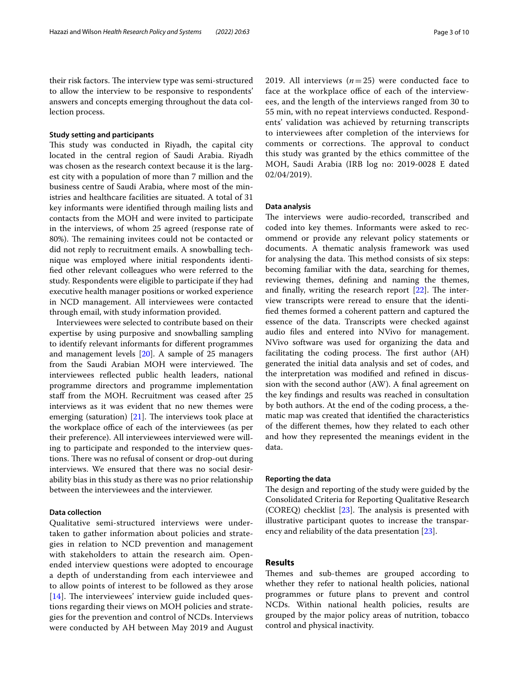their risk factors. The interview type was semi-structured to allow the interview to be responsive to respondents' answers and concepts emerging throughout the data collection process.

## **Study setting and participants**

This study was conducted in Riyadh, the capital city located in the central region of Saudi Arabia. Riyadh was chosen as the research context because it is the largest city with a population of more than 7 million and the business centre of Saudi Arabia, where most of the ministries and healthcare facilities are situated. A total of 31 key informants were identifed through mailing lists and contacts from the MOH and were invited to participate in the interviews, of whom 25 agreed (response rate of 80%). The remaining invitees could not be contacted or did not reply to recruitment emails. A snowballing technique was employed where initial respondents identifed other relevant colleagues who were referred to the study. Respondents were eligible to participate if they had executive health manager positions or worked experience in NCD management. All interviewees were contacted through email, with study information provided.

Interviewees were selected to contribute based on their expertise by using purposive and snowballing sampling to identify relevant informants for diferent programmes and management levels [[20](#page-8-16)]. A sample of 25 managers from the Saudi Arabian MOH were interviewed. The interviewees refected public health leaders, national programme directors and programme implementation staff from the MOH. Recruitment was ceased after 25 interviews as it was evident that no new themes were emerging (saturation)  $[21]$  $[21]$ . The interviews took place at the workplace office of each of the interviewees (as per their preference). All interviewees interviewed were willing to participate and responded to the interview questions. There was no refusal of consent or drop-out during interviews. We ensured that there was no social desirability bias in this study as there was no prior relationship between the interviewees and the interviewer.

# **Data collection**

Qualitative semi-structured interviews were undertaken to gather information about policies and strategies in relation to NCD prevention and management with stakeholders to attain the research aim. Openended interview questions were adopted to encourage a depth of understanding from each interviewee and to allow points of interest to be followed as they arose  $[14]$  $[14]$  $[14]$ . The interviewees' interview guide included questions regarding their views on MOH policies and strategies for the prevention and control of NCDs. Interviews were conducted by AH between May 2019 and August 2019. All interviews  $(n=25)$  were conducted face to face at the workplace office of each of the interviewees, and the length of the interviews ranged from 30 to 55 min, with no repeat interviews conducted. Respondents' validation was achieved by returning transcripts to interviewees after completion of the interviews for comments or corrections. The approval to conduct this study was granted by the ethics committee of the MOH, Saudi Arabia (IRB log no: 2019-0028 E dated 02/04/2019).

# **Data analysis**

The interviews were audio-recorded, transcribed and coded into key themes. Informants were asked to recommend or provide any relevant policy statements or documents. A thematic analysis framework was used for analysing the data. This method consists of six steps: becoming familiar with the data, searching for themes, reviewing themes, defning and naming the themes, and finally, writing the research report  $[22]$ . The interview transcripts were reread to ensure that the identifed themes formed a coherent pattern and captured the essence of the data. Transcripts were checked against audio fles and entered into NVivo for management. NVivo software was used for organizing the data and facilitating the coding process. The first author (AH) generated the initial data analysis and set of codes, and the interpretation was modifed and refned in discussion with the second author (AW). A fnal agreement on the key fndings and results was reached in consultation by both authors. At the end of the coding process, a thematic map was created that identifed the characteristics of the diferent themes, how they related to each other and how they represented the meanings evident in the data.

# **Reporting the data**

The design and reporting of the study were guided by the Consolidated Criteria for Reporting Qualitative Research (COREQ) checklist  $[23]$  $[23]$ . The analysis is presented with illustrative participant quotes to increase the transparency and reliability of the data presentation [[23\]](#page-8-19).

# **Results**

Themes and sub-themes are grouped according to whether they refer to national health policies, national programmes or future plans to prevent and control NCDs. Within national health policies, results are grouped by the major policy areas of nutrition, tobacco control and physical inactivity.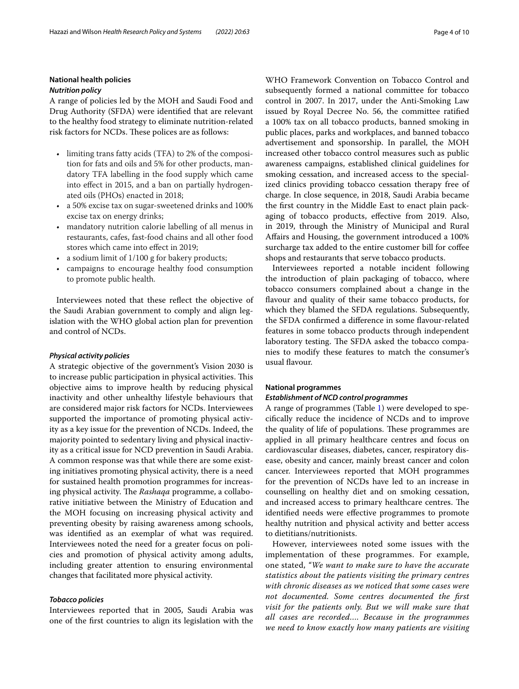# **National health policies**

# *Nutrition policy*

A range of policies led by the MOH and Saudi Food and Drug Authority (SFDA) were identifed that are relevant to the healthy food strategy to eliminate nutrition-related risk factors for NCDs. These polices are as follows:

- limiting trans fatty acids (TFA) to 2% of the composition for fats and oils and 5% for other products, mandatory TFA labelling in the food supply which came into efect in 2015, and a ban on partially hydrogenated oils (PHOs) enacted in 2018;
- a 50% excise tax on sugar-sweetened drinks and 100% excise tax on energy drinks;
- mandatory nutrition calorie labelling of all menus in restaurants, cafes, fast-food chains and all other food stores which came into efect in 2019;
- a sodium limit of 1/100 g for bakery products;
- campaigns to encourage healthy food consumption to promote public health.

Interviewees noted that these refect the objective of the Saudi Arabian government to comply and align legislation with the WHO global action plan for prevention and control of NCDs.

### *Physical activity policies*

A strategic objective of the government's Vision 2030 is to increase public participation in physical activities. This objective aims to improve health by reducing physical inactivity and other unhealthy lifestyle behaviours that are considered major risk factors for NCDs. Interviewees supported the importance of promoting physical activity as a key issue for the prevention of NCDs. Indeed, the majority pointed to sedentary living and physical inactivity as a critical issue for NCD prevention in Saudi Arabia. A common response was that while there are some existing initiatives promoting physical activity, there is a need for sustained health promotion programmes for increasing physical activity. The Rashaqa programme, a collaborative initiative between the Ministry of Education and the MOH focusing on increasing physical activity and preventing obesity by raising awareness among schools, was identifed as an exemplar of what was required. Interviewees noted the need for a greater focus on policies and promotion of physical activity among adults, including greater attention to ensuring environmental changes that facilitated more physical activity.

# *Tobacco policies*

Interviewees reported that in 2005, Saudi Arabia was one of the frst countries to align its legislation with the

WHO Framework Convention on Tobacco Control and subsequently formed a national committee for tobacco control in 2007. In 2017, under the Anti-Smoking Law issued by Royal Decree No. 56, the committee ratifed a 100% tax on all tobacco products, banned smoking in public places, parks and workplaces, and banned tobacco advertisement and sponsorship. In parallel, the MOH increased other tobacco control measures such as public awareness campaigns, established clinical guidelines for smoking cessation, and increased access to the specialized clinics providing tobacco cessation therapy free of charge. In close sequence, in 2018, Saudi Arabia became the frst country in the Middle East to enact plain packaging of tobacco products, efective from 2019. Also, in 2019, through the Ministry of Municipal and Rural Afairs and Housing, the government introduced a 100% surcharge tax added to the entire customer bill for coffee shops and restaurants that serve tobacco products.

Interviewees reported a notable incident following the introduction of plain packaging of tobacco, where tobacco consumers complained about a change in the favour and quality of their same tobacco products, for which they blamed the SFDA regulations. Subsequently, the SFDA confrmed a diference in some favour-related features in some tobacco products through independent laboratory testing. The SFDA asked the tobacco companies to modify these features to match the consumer's usual favour.

# **National programmes**

# *Establishment of NCD control programmes*

A range of programmes (Table [1](#page-4-0)) were developed to specifcally reduce the incidence of NCDs and to improve the quality of life of populations. These programmes are applied in all primary healthcare centres and focus on cardiovascular diseases, diabetes, cancer, respiratory disease, obesity and cancer, mainly breast cancer and colon cancer. Interviewees reported that MOH programmes for the prevention of NCDs have led to an increase in counselling on healthy diet and on smoking cessation, and increased access to primary healthcare centres. The identifed needs were efective programmes to promote healthy nutrition and physical activity and better access to dietitians/nutritionists.

However, interviewees noted some issues with the implementation of these programmes. For example, one stated, *"We want to make sure to have the accurate statistics about the patients visiting the primary centres with chronic diseases as we noticed that some cases were not documented. Some centres documented the frst visit for the patients only. But we will make sure that all cases are recorded…. Because in the programmes we need to know exactly how many patients are visiting*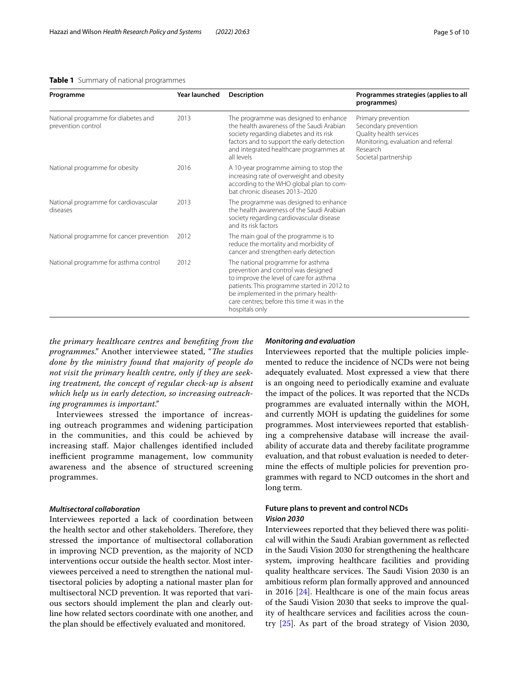# <span id="page-4-0"></span>**Table 1** Summary of national programmes

| Programme                                                 | Year launched | <b>Description</b>                                                                                                                                                                                                                                                            | Programmes strategies (applies to all<br>programmes)                                                                                             |
|-----------------------------------------------------------|---------------|-------------------------------------------------------------------------------------------------------------------------------------------------------------------------------------------------------------------------------------------------------------------------------|--------------------------------------------------------------------------------------------------------------------------------------------------|
| National programme for diabetes and<br>prevention control | 2013          | The programme was designed to enhance<br>the health awareness of the Saudi Arabian<br>society regarding diabetes and its risk<br>factors and to support the early detection<br>and integrated healthcare programmes at<br>all levels                                          | Primary prevention<br>Secondary prevention<br>Quality health services<br>Monitoring, evaluation and referral<br>Research<br>Societal partnership |
| National programme for obesity                            | 2016          | A 10-year programme aiming to stop the<br>increasing rate of overweight and obesity<br>according to the WHO global plan to com-<br>bat chronic diseases 2013-2020                                                                                                             |                                                                                                                                                  |
| National programme for cardiovascular<br>diseases         | 2013          | The programme was designed to enhance<br>the health awareness of the Saudi Arabian<br>society regarding cardiovascular disease<br>and its risk factors                                                                                                                        |                                                                                                                                                  |
| National programme for cancer prevention                  | 2012          | The main goal of the programme is to<br>reduce the mortality and morbidity of<br>cancer and strengthen early detection                                                                                                                                                        |                                                                                                                                                  |
| National programme for asthma control                     | 2012          | The national programme for asthma<br>prevention and control was designed<br>to improve the level of care for asthma<br>patients. This programme started in 2012 to<br>be implemented in the primary health-<br>care centres; before this time it was in the<br>hospitals only |                                                                                                                                                  |

*the primary healthcare centres and benefting from the programmes.*" Another interviewee stated, "The studies *done by the ministry found that majority of people do not visit the primary health centre, only if they are seeking treatment, the concept of regular check-up is absent which help us in early detection, so increasing outreaching programmes is important."*

Interviewees stressed the importance of increasing outreach programmes and widening participation in the communities, and this could be achieved by increasing staf. Major challenges identifed included inefficient programme management, low community awareness and the absence of structured screening programmes.

# *Multisectoral collaboration*

Interviewees reported a lack of coordination between the health sector and other stakeholders. Therefore, they stressed the importance of multisectoral collaboration in improving NCD prevention, as the majority of NCD interventions occur outside the health sector. Most interviewees perceived a need to strengthen the national multisectoral policies by adopting a national master plan for multisectoral NCD prevention. It was reported that various sectors should implement the plan and clearly outline how related sectors coordinate with one another, and the plan should be efectively evaluated and monitored.

# *Monitoring and evaluation*

Interviewees reported that the multiple policies implemented to reduce the incidence of NCDs were not being adequately evaluated. Most expressed a view that there is an ongoing need to periodically examine and evaluate the impact of the polices. It was reported that the NCDs programmes are evaluated internally within the MOH, and currently MOH is updating the guidelines for some programmes. Most interviewees reported that establishing a comprehensive database will increase the availability of accurate data and thereby facilitate programme evaluation, and that robust evaluation is needed to determine the efects of multiple policies for prevention programmes with regard to NCD outcomes in the short and long term.

# **Future plans to prevent and control NCDs** *Vision 2030*

Interviewees reported that they believed there was political will within the Saudi Arabian government as refected in the Saudi Vision 2030 for strengthening the healthcare system, improving healthcare facilities and providing quality healthcare services. The Saudi Vision 2030 is an ambitious reform plan formally approved and announced in 2016 [[24\]](#page-8-20). Healthcare is one of the main focus areas of the Saudi Vision 2030 that seeks to improve the quality of healthcare services and facilities across the country [[25\]](#page-8-21). As part of the broad strategy of Vision 2030,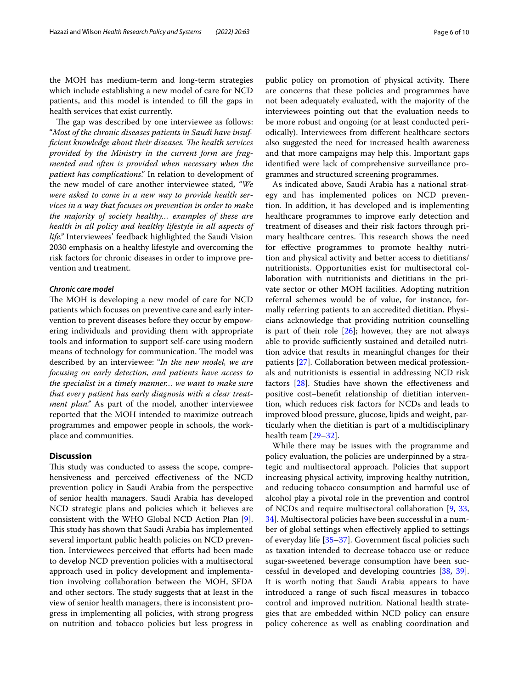the MOH has medium-term and long-term strategies which include establishing a new model of care for NCD patients, and this model is intended to fll the gaps in health services that exist currently.

The gap was described by one interviewee as follows: "*Most of the chronic diseases patients in Saudi have insufficient knowledge about their diseases. The health services provided by the Ministry in the current form are fragmented and often is provided when necessary when the patient has complications*." In relation to development of the new model of care another interviewee stated, *"We were asked to come in a new way to provide health services in a way that focuses on prevention in order to make the majority of society healthy… examples of these are health in all policy and healthy lifestyle in all aspects of life."* Interviewees' feedback highlighted the Saudi Vision 2030 emphasis on a healthy lifestyle and overcoming the risk factors for chronic diseases in order to improve prevention and treatment.

# *Chronic care model*

The MOH is developing a new model of care for NCD patients which focuses on preventive care and early intervention to prevent diseases before they occur by empowering individuals and providing them with appropriate tools and information to support self-care using modern means of technology for communication. The model was described by an interviewee: "*In the new model, we are focusing on early detection, and patients have access to the specialist in a timely manner… we want to make sure that every patient has early diagnosis with a clear treatment plan."* As part of the model, another interviewee reported that the MOH intended to maximize outreach programmes and empower people in schools, the workplace and communities.

# **Discussion**

This study was conducted to assess the scope, comprehensiveness and perceived efectiveness of the NCD prevention policy in Saudi Arabia from the perspective of senior health managers. Saudi Arabia has developed NCD strategic plans and policies which it believes are consistent with the WHO Global NCD Action Plan [\[9](#page-8-8)]. This study has shown that Saudi Arabia has implemented several important public health policies on NCD prevention. Interviewees perceived that efforts had been made to develop NCD prevention policies with a multisectoral approach used in policy development and implementation involving collaboration between the MOH, SFDA and other sectors. The study suggests that at least in the view of senior health managers, there is inconsistent progress in implementing all policies, with strong progress on nutrition and tobacco policies but less progress in public policy on promotion of physical activity. There are concerns that these policies and programmes have not been adequately evaluated, with the majority of the interviewees pointing out that the evaluation needs to be more robust and ongoing (or at least conducted periodically). Interviewees from diferent healthcare sectors also suggested the need for increased health awareness and that more campaigns may help this. Important gaps identifed were lack of comprehensive surveillance programmes and structured screening programmes.

As indicated above, Saudi Arabia has a national strategy and has implemented polices on NCD prevention. In addition, it has developed and is implementing healthcare programmes to improve early detection and treatment of diseases and their risk factors through primary healthcare centres. This research shows the need for effective programmes to promote healthy nutrition and physical activity and better access to dietitians/ nutritionists. Opportunities exist for multisectoral collaboration with nutritionists and dietitians in the private sector or other MOH facilities. Adopting nutrition referral schemes would be of value, for instance, formally referring patients to an accredited dietitian. Physicians acknowledge that providing nutrition counselling is part of their role  $[26]$  $[26]$ ; however, they are not always able to provide sufficiently sustained and detailed nutrition advice that results in meaningful changes for their patients [\[27](#page-8-23)]. Collaboration between medical professionals and nutritionists is essential in addressing NCD risk factors [\[28](#page-8-24)]. Studies have shown the efectiveness and positive cost–beneft relationship of dietitian intervention, which reduces risk factors for NCDs and leads to improved blood pressure, glucose, lipids and weight, particularly when the dietitian is part of a multidisciplinary health team [\[29](#page-8-25)[–32](#page-8-26)].

While there may be issues with the programme and policy evaluation, the policies are underpinned by a strategic and multisectoral approach. Policies that support increasing physical activity, improving healthy nutrition, and reducing tobacco consumption and harmful use of alcohol play a pivotal role in the prevention and control of NCDs and require multisectoral collaboration [[9,](#page-8-8) [33](#page-8-27), [34\]](#page-8-28). Multisectoral policies have been successful in a number of global settings when efectively applied to settings of everyday life [\[35](#page-8-29)[–37\]](#page-8-30). Government fscal policies such as taxation intended to decrease tobacco use or reduce sugar-sweetened beverage consumption have been successful in developed and developing countries [\[38](#page-8-31), [39](#page-8-32)]. It is worth noting that Saudi Arabia appears to have introduced a range of such fscal measures in tobacco control and improved nutrition. National health strategies that are embedded within NCD policy can ensure policy coherence as well as enabling coordination and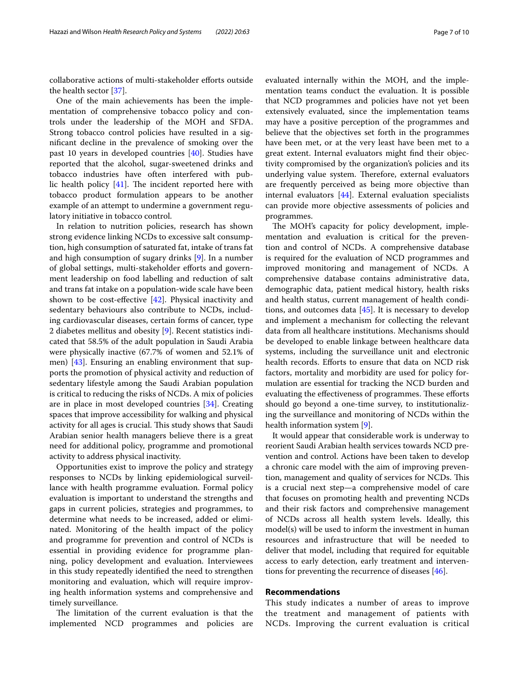collaborative actions of multi-stakeholder efforts outside the health sector [\[37](#page-8-30)].

One of the main achievements has been the implementation of comprehensive tobacco policy and controls under the leadership of the MOH and SFDA. Strong tobacco control policies have resulted in a signifcant decline in the prevalence of smoking over the past 10 years in developed countries [\[40\]](#page-9-0). Studies have reported that the alcohol, sugar-sweetened drinks and tobacco industries have often interfered with public health policy  $[41]$  $[41]$ . The incident reported here with tobacco product formulation appears to be another example of an attempt to undermine a government regulatory initiative in tobacco control.

In relation to nutrition policies, research has shown strong evidence linking NCDs to excessive salt consumption, high consumption of saturated fat, intake of trans fat and high consumption of sugary drinks [[9\]](#page-8-8). In a number of global settings, multi-stakeholder eforts and government leadership on food labelling and reduction of salt and trans fat intake on a population-wide scale have been shown to be cost-effective  $[42]$  $[42]$ . Physical inactivity and sedentary behaviours also contribute to NCDs, including cardiovascular diseases, certain forms of cancer, type 2 diabetes mellitus and obesity [\[9\]](#page-8-8). Recent statistics indicated that 58.5% of the adult population in Saudi Arabia were physically inactive (67.7% of women and 52.1% of men) [[43\]](#page-9-3). Ensuring an enabling environment that supports the promotion of physical activity and reduction of sedentary lifestyle among the Saudi Arabian population is critical to reducing the risks of NCDs. A mix of policies are in place in most developed countries [\[34](#page-8-28)]. Creating spaces that improve accessibility for walking and physical activity for all ages is crucial. This study shows that Saudi Arabian senior health managers believe there is a great need for additional policy, programme and promotional activity to address physical inactivity.

Opportunities exist to improve the policy and strategy responses to NCDs by linking epidemiological surveillance with health programme evaluation. Formal policy evaluation is important to understand the strengths and gaps in current policies, strategies and programmes, to determine what needs to be increased, added or eliminated. Monitoring of the health impact of the policy and programme for prevention and control of NCDs is essential in providing evidence for programme planning, policy development and evaluation. Interviewees in this study repeatedly identifed the need to strengthen monitoring and evaluation, which will require improving health information systems and comprehensive and timely surveillance.

The limitation of the current evaluation is that the implemented NCD programmes and policies are evaluated internally within the MOH, and the implementation teams conduct the evaluation. It is possible that NCD programmes and policies have not yet been extensively evaluated, since the implementation teams may have a positive perception of the programmes and believe that the objectives set forth in the programmes have been met, or at the very least have been met to a great extent. Internal evaluators might fnd their objectivity compromised by the organization's policies and its underlying value system. Therefore, external evaluators are frequently perceived as being more objective than internal evaluators [\[44\]](#page-9-4). External evaluation specialists can provide more objective assessments of policies and programmes.

The MOH's capacity for policy development, implementation and evaluation is critical for the prevention and control of NCDs. A comprehensive database is required for the evaluation of NCD programmes and improved monitoring and management of NCDs. A comprehensive database contains administrative data, demographic data, patient medical history, health risks and health status, current management of health conditions, and outcomes data  $[45]$  $[45]$ . It is necessary to develop and implement a mechanism for collecting the relevant data from all healthcare institutions. Mechanisms should be developed to enable linkage between healthcare data systems, including the surveillance unit and electronic health records. Efforts to ensure that data on NCD risk factors, mortality and morbidity are used for policy formulation are essential for tracking the NCD burden and evaluating the effectiveness of programmes. These efforts should go beyond a one-time survey, to institutionalizing the surveillance and monitoring of NCDs within the health information system [[9](#page-8-8)].

It would appear that considerable work is underway to reorient Saudi Arabian health services towards NCD prevention and control. Actions have been taken to develop a chronic care model with the aim of improving prevention, management and quality of services for NCDs. This is a crucial next step—a comprehensive model of care that focuses on promoting health and preventing NCDs and their risk factors and comprehensive management of NCDs across all health system levels. Ideally, this model(s) will be used to inform the investment in human resources and infrastructure that will be needed to deliver that model, including that required for equitable access to early detection, early treatment and interventions for preventing the recurrence of diseases [[46\]](#page-9-6).

# **Recommendations**

This study indicates a number of areas to improve the treatment and management of patients with NCDs. Improving the current evaluation is critical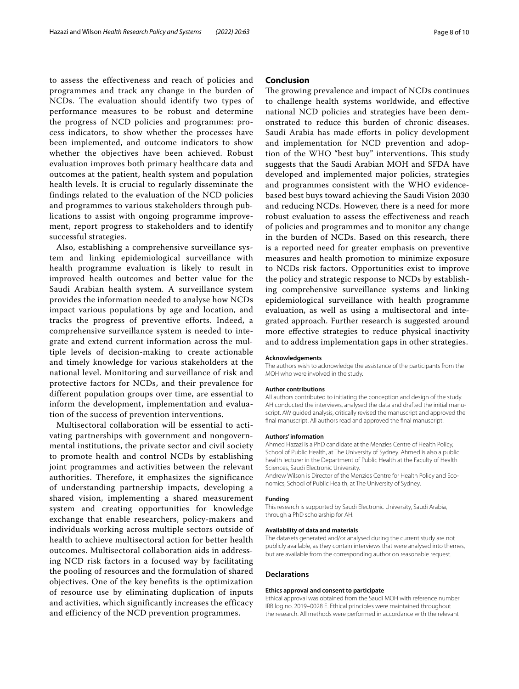to assess the effectiveness and reach of policies and programmes and track any change in the burden of NCDs. The evaluation should identify two types of performance measures to be robust and determine the progress of NCD policies and programmes: process indicators, to show whether the processes have been implemented, and outcome indicators to show whether the objectives have been achieved. Robust evaluation improves both primary healthcare data and outcomes at the patient, health system and population health levels. It is crucial to regularly disseminate the findings related to the evaluation of the NCD policies and programmes to various stakeholders through publications to assist with ongoing programme improvement, report progress to stakeholders and to identify successful strategies.

Also, establishing a comprehensive surveillance system and linking epidemiological surveillance with health programme evaluation is likely to result in improved health outcomes and better value for the Saudi Arabian health system. A surveillance system provides the information needed to analyse how NCDs impact various populations by age and location, and tracks the progress of preventive efforts. Indeed, a comprehensive surveillance system is needed to integrate and extend current information across the multiple levels of decision-making to create actionable and timely knowledge for various stakeholders at the national level. Monitoring and surveillance of risk and protective factors for NCDs, and their prevalence for different population groups over time, are essential to inform the development, implementation and evaluation of the success of prevention interventions.

Multisectoral collaboration will be essential to activating partnerships with government and nongovernmental institutions, the private sector and civil society to promote health and control NCDs by establishing joint programmes and activities between the relevant authorities. Therefore, it emphasizes the significance of understanding partnership impacts, developing a shared vision, implementing a shared measurement system and creating opportunities for knowledge exchange that enable researchers, policy-makers and individuals working across multiple sectors outside of health to achieve multisectoral action for better health outcomes. Multisectoral collaboration aids in addressing NCD risk factors in a focused way by facilitating the pooling of resources and the formulation of shared objectives. One of the key benefits is the optimization of resource use by eliminating duplication of inputs and activities, which significantly increases the efficacy and efficiency of the NCD prevention programmes.

# **Conclusion**

The growing prevalence and impact of NCDs continues to challenge health systems worldwide, and efective national NCD policies and strategies have been demonstrated to reduce this burden of chronic diseases. Saudi Arabia has made efforts in policy development and implementation for NCD prevention and adoption of the WHO "best buy" interventions. This study suggests that the Saudi Arabian MOH and SFDA have developed and implemented major policies, strategies and programmes consistent with the WHO evidencebased best buys toward achieving the Saudi Vision 2030 and reducing NCDs. However, there is a need for more robust evaluation to assess the efectiveness and reach of policies and programmes and to monitor any change in the burden of NCDs. Based on this research, there is a reported need for greater emphasis on preventive measures and health promotion to minimize exposure to NCDs risk factors. Opportunities exist to improve the policy and strategic response to NCDs by establishing comprehensive surveillance systems and linking epidemiological surveillance with health programme evaluation, as well as using a multisectoral and integrated approach. Further research is suggested around more efective strategies to reduce physical inactivity and to address implementation gaps in other strategies.

#### **Acknowledgements**

The authors wish to acknowledge the assistance of the participants from the MOH who were involved in the study.

#### **Author contributions**

All authors contributed to initiating the conception and design of the study. AH conducted the interviews, analysed the data and drafted the initial manuscript. AW guided analysis, critically revised the manuscript and approved the fnal manuscript. All authors read and approved the fnal manuscript.

#### **Authors' information**

Ahmed Hazazi is a PhD candidate at the Menzies Centre of Health Policy, School of Public Health, at The University of Sydney. Ahmed is also a public health lecturer in the Department of Public Health at the Faculty of Health Sciences, Saudi Electronic University.

Andrew Wilson is Director of the Menzies Centre for Health Policy and Economics, School of Public Health, at The University of Sydney.

#### **Funding**

This research is supported by Saudi Electronic University, Saudi Arabia, through a PhD scholarship for AH.

### **Availability of data and materials**

The datasets generated and/or analysed during the current study are not publicly available, as they contain interviews that were analysed into themes, but are available from the corresponding author on reasonable request.

### **Declarations**

#### **Ethics approval and consent to participate**

Ethical approval was obtained from the Saudi MOH with reference number IRB log no. 2019–0028 E. Ethical principles were maintained throughout the research. All methods were performed in accordance with the relevant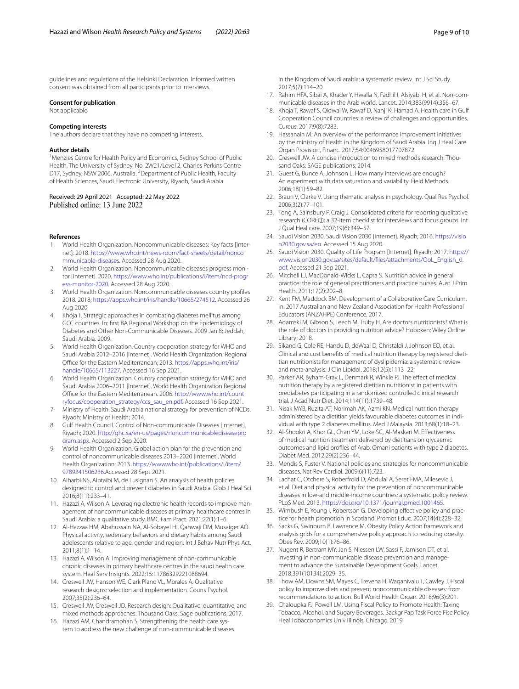guidelines and regulations of the Helsinki Declaration. Informed written consent was obtained from all participants prior to interviews.

### **Consent for publication**

Not applicable.

#### **Competing interests**

The authors declare that they have no competing interests.

#### **Author details**

<sup>1</sup> Menzies Centre for Health Policy and Economics, Sydney School of Public Health, The University of Sydney, No. 2W21/Level 2, Charles Perkins Centre D17, Sydney, NSW 2006, Australia. <sup>2</sup> Department of Public Health, Faculty of Health Sciences, Saudi Electronic University, Riyadh, Saudi Arabia.

# Received: 29 April 2021 Accepted: 22 May 2022<br>Published online: 13 June 2022

### **References**

- <span id="page-8-0"></span>1. World Health Organization. Noncommunicable diseases: Key facts [Internet]. 2018. [https://www.who.int/news-room/fact-sheets/detail/nonco](https://www.who.int/news-room/fact-sheets/detail/noncommunicable-diseases) [mmunicable-diseases.](https://www.who.int/news-room/fact-sheets/detail/noncommunicable-diseases) Accessed 28 Aug 2020.
- <span id="page-8-1"></span>2. World Health Organization. Noncommunicable diseases progress monitor [Internet]. 2020. [https://www.who.int/publications/i/item/ncd-progr](https://www.who.int/publications/i/item/ncd-progress-monitor-2020) [ess-monitor-2020](https://www.who.int/publications/i/item/ncd-progress-monitor-2020). Accessed 28 Aug 2020.
- <span id="page-8-2"></span>3. World Health Organization. Noncommunicable diseases country profles 2018. 2018; [https://apps.who.int/iris/handle/10665/274512.](https://apps.who.int/iris/handle/10665/274512) Accessed 26 Aug 2020.
- <span id="page-8-3"></span>4. Khoja T. Strategic approaches in combating diabetes mellitus among GCC countries. In: frst BA Regional Workshop on the Epidemiology of Diabetes and Other Non-Communicable Diseases. 2009 Jan 8; Jeddah, Saudi Arabia. 2009.
- <span id="page-8-4"></span>5. World Health Organization. Country cooperation strategy for WHO and Saudi Arabia 2012–2016 [Internet]. World Health Organization. Regional Office for the Eastern Mediterranean; 2013. [https://apps.who.int/iris/](https://apps.who.int/iris/handle/10665/113227) [handle/10665/113227.](https://apps.who.int/iris/handle/10665/113227) Accessed 16 Sep 2021.
- <span id="page-8-5"></span>6. World Health Organization. Country cooperation strategy for WHO and Saudi Arabia 2006–2011 [Internet]. World Health Organization Regional Office for the Eastern Mediterranean. 2006. [http://www.who.int/count](http://www.who.int/countryfocus/cooperation_strategy/ccs_sau_en.pdf) [ryfocus/cooperation\\_strategy/ccs\\_sau\\_en.pdf](http://www.who.int/countryfocus/cooperation_strategy/ccs_sau_en.pdf). Accessed 16 Sep 2021.
- <span id="page-8-6"></span>7. Ministry of Health. Saudi Arabia national strategy for prevention of NCDs. Riyadh: Ministry of Health; 2014.
- <span id="page-8-7"></span>8. Gulf Health Council. Control of Non-communicable Diseases [Internet]. Riyadh; 2020. [http://ghc.sa/en-us/pages/noncommunicablediseasepro](http://ghc.sa/en-us/pages/noncommunicablediseaseprogram.aspx) [gram.aspx](http://ghc.sa/en-us/pages/noncommunicablediseaseprogram.aspx). Accessed 2 Sep 2020.
- <span id="page-8-8"></span>9. World Health Organization. Global action plan for the prevention and control of noncommunicable diseases 2013–2020 [Internet]. World Health Organization; 2013. [https://www.who.int/publications/i/item/](https://www.who.int/publications/i/item/9789241506236) [9789241506236](https://www.who.int/publications/i/item/9789241506236).Accessed 28 Sept 2021.
- <span id="page-8-9"></span>10. Alharbi NS, Alotaibi M, de Lusignan S. An analysis of health policies designed to control and prevent diabetes in Saudi Arabia. Glob J Heal Sci. 2016;8(11):233–41.
- <span id="page-8-10"></span>11. Hazazi A, Wilson A. Leveraging electronic health records to improve management of noncommunicable diseases at primary healthcare centres in Saudi Arabia: a qualitative study. BMC Fam Pract. 2021;22(1):1–6.
- 12. Al-Hazzaa HM, Abahussain NA, Al-Sobayel HI, Qahwaji DM, Musaiger AO. Physical activity, sedentary behaviors and dietary habits among Saudi adolescents relative to age, gender and region. Int J Behav Nutr Phys Act. 2011;8(1):1–14.
- <span id="page-8-11"></span>13. Hazazi A, Wilson A. Improving management of non-communicable chronic diseases in primary healthcare centres in the saudi health care system. Heal Serv Insights. 2022;15:11786329221088694.
- <span id="page-8-12"></span>14. Creswell JW, Hanson WE, Clark Plano VL, Morales A. Qualitative research designs: selection and implementation. Couns Psychol. 2007;35(2):236–64.
- <span id="page-8-13"></span>15. Creswell JW, Creswell JD. Research design: Qualitative, quantitative, and mixed methods approaches. Thousand Oaks: Sage publications; 2017.
- <span id="page-8-14"></span>16. Hazazi AM, Chandramohan S. Strengthening the health care system to address the new challenge of non-communicable diseases

in the Kingdom of Saudi arabia: a systematic review. Int J Sci Study. 2017;5(7):114–20.

- 17. Rahim HFA, Sibai A, Khader Y, Hwalla N, Fadhil I, Alsiyabi H, et al. Non-communicable diseases in the Arab world. Lancet. 2014;383(9914):356–67.
- 18. Khoja T, Rawaf S, Qidwai W, Rawaf D, Nanji K, Hamad A. Health care in Gulf Cooperation Council countries: a review of challenges and opportunities. Cureus. 2017;9(8):7283.
- <span id="page-8-15"></span>19. Hassanain M. An overview of the performance improvement initiatives by the ministry of Health in the Kingdom of Saudi Arabia. Inq J Heal Care Organ Provision, Financ. 2017;54:0046958017707872.
- <span id="page-8-16"></span>20. Creswell JW. A concise introduction to mixed methods research. Thousand Oaks: SAGE publications; 2014.
- <span id="page-8-17"></span>21. Guest G, Bunce A, Johnson L. How many interviews are enough? An experiment with data saturation and variability. Field Methods. 2006;18(1):59–82.
- <span id="page-8-18"></span>22. Braun V, Clarke V. Using thematic analysis in psychology. Qual Res Psychol. 2006;3(2):77–101.
- <span id="page-8-19"></span>23. Tong A, Sainsbury P, Craig J. Consolidated criteria for reporting qualitative research (COREQ): a 32-item checklist for interviews and focus groups. Int J Qual Heal care. 2007;19(6):349–57.
- <span id="page-8-20"></span>24. Saudi Vision 2030. Saudi Vision 2030 [Internet]. Riyadh; 2016. [https://visio](https://vision2030.gov.sa/en) [n2030.gov.sa/en.](https://vision2030.gov.sa/en) Accessed 15 Aug 2020.
- <span id="page-8-21"></span>25. Saudi Vision 2030. Quality of Life Program [Internet]. Riyadh; 2017. [https://](https://www.vision2030.gov.sa/sites/default/files/attachments/QoL_English_0.pdf) [www.vision2030.gov.sa/sites/default/fles/attachments/QoL\\_English\\_0.](https://www.vision2030.gov.sa/sites/default/files/attachments/QoL_English_0.pdf) [pdf.](https://www.vision2030.gov.sa/sites/default/files/attachments/QoL_English_0.pdf) Accessed 21 Sep 2021.
- <span id="page-8-22"></span>26. Mitchell LJ, MacDonald-Wicks L, Capra S. Nutrition advice in general practice: the role of general practitioners and practice nurses. Aust J Prim Health. 2011;17(2):202–8.
- <span id="page-8-23"></span>27. Kent FM, Maddock BM. Development of a Collaborative Care Curriculum. In: 2017 Australian and New Zealand Association for Health Professional Educators (ANZAHPE) Conference. 2017.
- <span id="page-8-24"></span>28. Adamski M, Gibson S, Leech M, Truby H. Are doctors nutritionists? What is the role of doctors in providing nutrition advice? Hoboken: Wiley Online Library; 2018.
- <span id="page-8-25"></span>29. Sikand G, Cole RE, Handu D, deWaal D, Christaldi J, Johnson EQ, et al. Clinical and cost benefts of medical nutrition therapy by registered dietitian nutritionists for management of dyslipidemia: a systematic review and meta-analysis. J Clin Lipidol. 2018;12(5):1113–22.
- 30. Parker AR, Byham-Gray L, Denmark R, Winkle PJ. The effect of medical nutrition therapy by a registered dietitian nutritionist in patients with prediabetes participating in a randomized controlled clinical research trial. J Acad Nutr Diet. 2014;114(11):1739–48.
- 31. Nisak MYB, Ruzita AT, Norimah AK, Azmi KN. Medical nutrition therapy administered by a dietitian yields favourable diabetes outcomes in individual with type 2 diabetes mellitus. Med J Malaysia. 2013;68(1):18–23.
- <span id="page-8-26"></span>32. Al-Shookri A, Khor GL, Chan YM, Loke SC, Al-Maskari M. Efectiveness of medical nutrition treatment delivered by dietitians on glycaemic outcomes and lipid profles of Arab, Omani patients with type 2 diabetes. Diabet Med. 2012;29(2):236–44.
- <span id="page-8-27"></span>33. Mendis S, Fuster V. National policies and strategies for noncommunicable diseases. Nat Rev Cardiol. 2009;6(11):723.
- <span id="page-8-28"></span>34. Lachat C, Otchere S, Roberfroid D, Abdulai A, Seret FMA, Milesevic J, et al. Diet and physical activity for the prevention of noncommunicable diseases in low-and middle-income countries: a systematic policy review. PLoS Med. 2013. [https://doi.org/10.1371/journal.pmed.1001465.](https://doi.org/10.1371/journal.pmed.1001465)
- <span id="page-8-29"></span>35. Wimbush E, Young I, Robertson G. Developing efective policy and practice for health promotion in Scotland. Promot Educ. 2007;14(4):228–32.
- 36. Sacks G, Swinburn B, Lawrence M. Obesity Policy Action framework and analysis grids for a comprehensive policy approach to reducing obesity. Obes Rev. 2009;10(1):76–86.
- <span id="page-8-30"></span>37. Nugent R, Bertram MY, Jan S, Niessen LW, Sassi F, Jamison DT, et al. Investing in non-communicable disease prevention and management to advance the Sustainable Development Goals. Lancet. 2018;391(10134):2029–35.
- <span id="page-8-31"></span>38. Thow AM, Downs SM, Mayes C, Trevena H, Waqanivalu T, Cawley J. Fiscal policy to improve diets and prevent noncommunicable diseases: from recommendations to action. Bull World Health Organ. 2018;96(3):201.
- <span id="page-8-32"></span>39. Chaloupka FJ, Powell LM. Using Fiscal Policy to Promote Health: Taxing Tobacco, Alcohol, and Sugary Beverages. Backgr Pap Task Force Fisc Policy Heal Tobacconomics Univ Illinois, Chicago. 2019